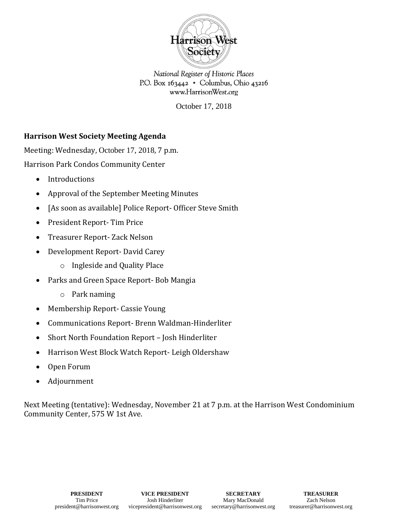

National Register of Historic Places P.O. Box  $163442 \cdot$  Columbus, Ohio 43216 www.HarrisonWest.org

October 17, 2018

## **Harrison West Society Meeting Agenda**

Meeting: Wednesday, October 17, 2018, 7 p.m. Harrison Park Condos Community Center

- Introductions
- Approval of the September Meeting Minutes
- [As soon as available] Police Report- Officer Steve Smith
- President Report- Tim Price
- Treasurer Report- Zack Nelson
- Development Report- David Carey
	- o Ingleside and Quality Place
- Parks and Green Space Report- Bob Mangia
	- o Park naming
- Membership Report- Cassie Young
- Communications Report- Brenn Waldman-Hinderliter
- Short North Foundation Report Josh Hinderliter
- Harrison West Block Watch Report- Leigh Oldershaw
- Open Forum
- Adjournment

Next Meeting (tentative): Wednesday, November 21 at 7 p.m. at the Harrison West Condominium Community Center, 575 W 1st Ave.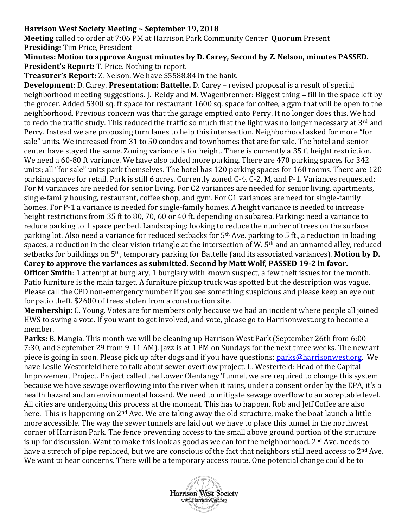## **Harrison West Society Meeting ~ September 19, 2018**

**Meeting** called to order at 7:06 PM at Harrison Park Community Center **Quorum** Present **Presiding:** Tim Price, President

**Minutes: Motion to approve August minutes by D. Carey, Second by Z. Nelson, minutes PASSED. President's Report:** T. Price. Nothing to report.

**Treasurer's Report:** Z. Nelson. We have \$5588.84 in the bank.

**Development**: D. Carey. **Presentation: Battelle.** D. Carey – revised proposal is a result of special neighborhood meeting suggestions. J. Reidy and M. Wagenbrenner: Biggest thing = fill in the space left by the grocer. Added 5300 sq. ft space for restaurant 1600 sq. space for coffee, a gym that will be open to the neighborhood. Previous concern was that the garage emptied onto Perry. It no longer does this. We had to redo the traffic study. This reduced the traffic so much that the light was no longer necessary at 3<sup>rd</sup> and Perry. Instead we are proposing turn lanes to help this intersection. Neighborhood asked for more "for sale" units. We increased from 31 to 50 condos and townhomes that are for sale. The hotel and senior center have stayed the same. Zoning variance is for height. There is currently a 35 ft height restriction. We need a 60-80 ft variance. We have also added more parking. There are 470 parking spaces for 342 units; all "for sale" units park themselves. The hotel has 120 parking spaces for 160 rooms. There are 120 parking spaces for retail. Park is still 6 acres. Currently zoned C-4, C-2, M, and P-1. Variances requested: For M variances are needed for senior living. For C2 variances are needed for senior living, apartments, single-family housing, restaurant, coffee shop, and gym. For C1 variances are need for single-family homes. For P-1 a variance is needed for single-family homes. A height variance is needed to increase height restrictions from 35 ft to 80, 70, 60 or 40 ft. depending on subarea. Parking: need a variance to reduce parking to 1 space per bed. Landscaping: looking to reduce the number of trees on the surface parking lot. Also need a variance for reduced setbacks for 5<sup>th</sup> Ave. parking to 5 ft., a reduction in loading spaces, a reduction in the clear vision triangle at the intersection of W. 5th and an unnamed alley, reduced setbacks for buildings on 5th, temporary parking for Battelle (and its associated variances). **Motion by D. Carey to approve the variances as submitted. Second by Matt Wolf, PASSED 19-2 in favor. Officer Smith**: 1 attempt at burglary, 1 burglary with known suspect, a few theft issues for the month.

Patio furniture is the main target. A furniture pickup truck was spotted but the description was vague. Please call the CPD non-emergency number if you see something suspicious and please keep an eye out for patio theft. \$2600 of trees stolen from a construction site.

**Membership:** C. Young. Votes are for members only because we had an incident where people all joined HWS to swing a vote. If you want to get involved, and vote, please go to Harrisonwest.org to become a member.

**Parks:** B. Mangia. This month we will be cleaning up Harrison West Park (September 26th from 6:00 – 7:30, and September 29 from 9-11 AM). Jazz is at 1 PM on Sundays for the next three weeks. The new art piece is going in soon. Please pick up after dogs and if you have questions: [parks@harrisonwest.org.](mailto:parks@harrisonwest.org) We have Leslie Westerfeld here to talk about sewer overflow project. L. Westerfeld: Head of the Capital Improvement Project. Project called the Lower Olentangy Tunnel, we are required to change this system because we have sewage overflowing into the river when it rains, under a consent order by the EPA, it's a health hazard and an environmental hazard. We need to mitigate sewage overflow to an acceptable level. All cities are undergoing this process at the moment. This has to happen. Rob and Jeff Coffee are also here. This is happening on 2nd Ave. We are taking away the old structure, make the boat launch a little more accessible. The way the sewer tunnels are laid out we have to place this tunnel in the northwest corner of Harrison Park. The fence preventing access to the small above ground portion of the structure is up for discussion. Want to make this look as good as we can for the neighborhood. 2nd Ave. needs to have a stretch of pipe replaced, but we are conscious of the fact that neighbors still need access to 2<sup>nd</sup> Ave. We want to hear concerns. There will be a temporary access route. One potential change could be to